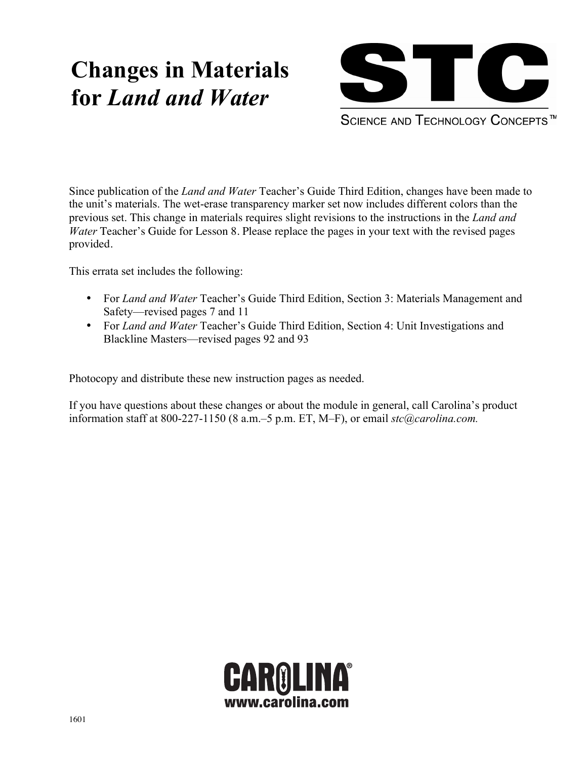# **Changes in Materials for** *Land and Water*



SCIENCE AND TECHNOLOGY CONCEPTS<sup>™</sup>

Since publication of the *Land and Water* Teacher's Guide Third Edition, changes have been made to the unit's materials. The wet-erase transparency marker set now includes different colors than the previous set. This change in materials requires slight revisions to the instructions in the *Land and Water* Teacher's Guide for Lesson 8. Please replace the pages in your text with the revised pages provided.

This errata set includes the following:

- For *Land and Water* Teacher's Guide Third Edition, Section 3: Materials Management and Safety—revised pages 7 and 11
- For *Land and Water* Teacher's Guide Third Edition, Section 4: Unit Investigations and Blackline Masters—revised pages 92 and 93

Photocopy and distribute these new instruction pages as needed.

If you have questions about these changes or about the module in general, call Carolina's product information staff at 800-227-1150 (8 a.m.–5 p.m. ET, M–F), or email *stc@carolina.com.*

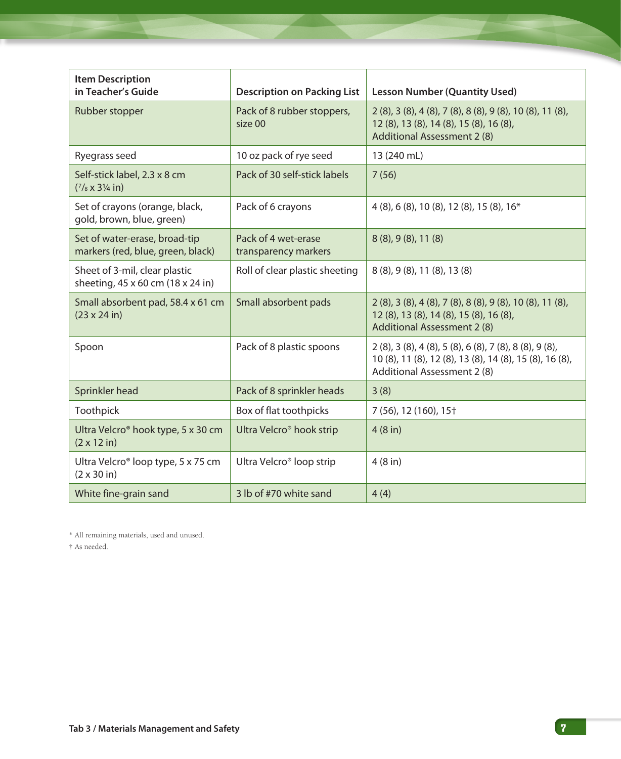| <b>Item Description</b><br>in Teacher's Guide                                | <b>Description on Packing List</b>          | <b>Lesson Number (Quantity Used)</b>                                                                                                                                     |
|------------------------------------------------------------------------------|---------------------------------------------|--------------------------------------------------------------------------------------------------------------------------------------------------------------------------|
| Rubber stopper                                                               | Pack of 8 rubber stoppers,<br>size 00       | 2 (8), 3 (8), 4 (8), 7 (8), 8 (8), 9 (8), 10 (8), 11 (8),<br>12 (8), 13 (8), 14 (8), 15 (8), 16 (8),<br>Additional Assessment 2 (8)                                      |
| Ryegrass seed                                                                | 10 oz pack of rye seed                      | 13 (240 mL)                                                                                                                                                              |
| Self-stick label, 2.3 x 8 cm<br>$(7/8 \times 3\frac{1}{4}$ in)               | Pack of 30 self-stick labels                | 7(56)                                                                                                                                                                    |
| Set of crayons (orange, black,<br>gold, brown, blue, green)                  | Pack of 6 crayons                           | 4 (8), 6 (8), 10 (8), 12 (8), 15 (8), 16*                                                                                                                                |
| Set of water-erase, broad-tip<br>markers (red, blue, green, black)           | Pack of 4 wet-erase<br>transparency markers | 8 (8), 9 (8), 11 (8)                                                                                                                                                     |
| Sheet of 3-mil, clear plastic<br>sheeting, 45 x 60 cm (18 x 24 in)           | Roll of clear plastic sheeting              | 8 (8), 9 (8), 11 (8), 13 (8)                                                                                                                                             |
| Small absorbent pad, 58.4 x 61 cm<br>$(23 \times 24)$ in)                    | Small absorbent pads                        | 2 (8), 3 (8), 4 (8), 7 (8), 8 (8), 9 (8), 10 (8), 11 (8),<br>12 (8), 13 (8), 14 (8), 15 (8), 16 (8),<br>Additional Assessment 2 (8)                                      |
| Spoon                                                                        | Pack of 8 plastic spoons                    | $2(8)$ , 3 $(8)$ , 4 $(8)$ , 5 $(8)$ , 6 $(8)$ , 7 $(8)$ , 8 $(8)$ , 9 $(8)$ ,<br>10 (8), 11 (8), 12 (8), 13 (8), 14 (8), 15 (8), 16 (8),<br>Additional Assessment 2 (8) |
| Sprinkler head                                                               | Pack of 8 sprinkler heads                   | 3(8)                                                                                                                                                                     |
| Toothpick                                                                    | Box of flat toothpicks                      | 7 (56), 12 (160), 15 <sup>+</sup>                                                                                                                                        |
| Ultra Velcro <sup>®</sup> hook type, 5 x 30 cm<br>$(2 \times 12 \text{ in})$ | Ultra Velcro <sup>®</sup> hook strip        | 4(8 in)                                                                                                                                                                  |
| Ultra Velcro <sup>®</sup> loop type, 5 x 75 cm<br>$(2 \times 30 \text{ in})$ | Ultra Velcro <sup>®</sup> loop strip        | 4(8 in)                                                                                                                                                                  |
| White fine-grain sand                                                        | 3 lb of #70 white sand                      | 4(4)                                                                                                                                                                     |

\* All remaining materials, used and unused.

† As needed.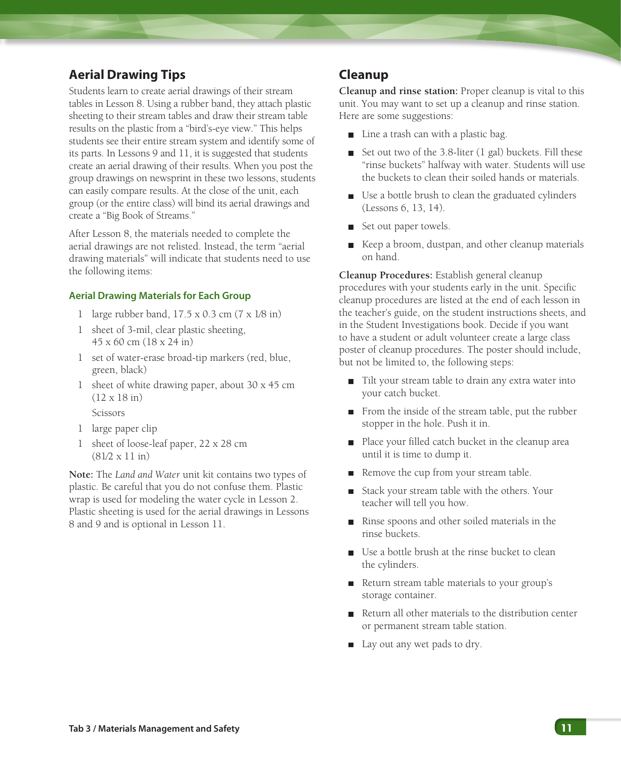# **Aerial Drawing Tips**

Students learn to create aerial drawings of their stream tables in Lesson 8. Using a rubber band, they attach plastic sheeting to their stream tables and draw their stream table results on the plastic from a "bird's-eye view." This helps students see their entire stream system and identify some of its parts. In Lessons 9 and 11, it is suggested that students create an aerial drawing of their results. When you post the group drawings on newsprint in these two lessons, students can easily compare results. At the close of the unit, each group (or the entire class) will bind its aerial drawings and create a "Big Book of Streams."

After Lesson 8, the materials needed to complete the aerial drawings are not relisted. Instead, the term "aerial drawing materials" will indicate that students need to use the following items:

## **Aerial Drawing Materials for Each Group**

- 1 large rubber band, 17.5 x 0.3 cm (7 x 1⁄8 in)
- 1 sheet of 3-mil, clear plastic sheeting, 45 x 60 cm (18 x 24 in)
- 1 set of water-erase broad-tip markers (red, blue, green, black)
- 1 sheet of white drawing paper, about 30 x 45 cm (12 x 18 in) Scissors
- 1 large paper clip
- 1 sheet of loose-leaf paper, 22 x 28 cm (81⁄2 x 11 in)

**Note:** The *Land and Water* unit kit contains two types of plastic. Be careful that you do not confuse them. Plastic wrap is used for modeling the water cycle in Lesson 2. Plastic sheeting is used for the aerial drawings in Lessons 8 and 9 and is optional in Lesson 11.

## **Cleanup**

**Cleanup and rinse station:** Proper cleanup is vital to this unit. You may want to set up a cleanup and rinse station. Here are some suggestions:

- Line a trash can with a plastic bag.
- Set out two of the 3.8-liter (1 gal) buckets. Fill these "rinse buckets" halfway with water. Students will use the buckets to clean their soiled hands or materials.
- Use a bottle brush to clean the graduated cylinders (Lessons 6, 13, 14).
- Set out paper towels.
- Keep a broom, dustpan, and other cleanup materials on hand.

**Cleanup Procedures:** Establish general cleanup procedures with your students early in the unit. Specific cleanup procedures are listed at the end of each lesson in the teacher's guide, on the student instructions sheets, and in the Student Investigations book. Decide if you want to have a student or adult volunteer create a large class poster of cleanup procedures. The poster should include, but not be limited to, the following steps:

- Tilt your stream table to drain any extra water into your catch bucket.
- From the inside of the stream table, put the rubber stopper in the hole. Push it in.
- Place your filled catch bucket in the cleanup area until it is time to dump it.
- Remove the cup from your stream table.
- Stack your stream table with the others. Your teacher will tell you how.
- Rinse spoons and other soiled materials in the rinse buckets.
- Use a bottle brush at the rinse bucket to clean the cylinders.
- Return stream table materials to your group's storage container.
- Return all other materials to the distribution center or permanent stream table station.
- Lay out any wet pads to dry.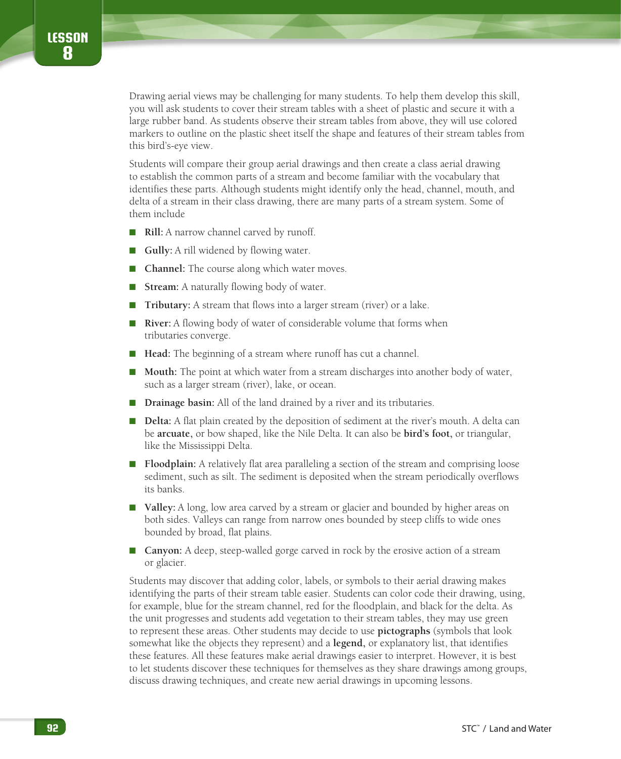Drawing aerial views may be challenging for many students. To help them develop this skill, you will ask students to cover their stream tables with a sheet of plastic and secure it with a large rubber band. As students observe their stream tables from above, they will use colored markers to outline on the plastic sheet itself the shape and features of their stream tables from this bird's-eye view.

Students will compare their group aerial drawings and then create a class aerial drawing to establish the common parts of a stream and become familiar with the vocabulary that identifies these parts. Although students might identify only the head, channel, mouth, and delta of a stream in their class drawing, there are many parts of a stream system. Some of them include

- **Rill:** A narrow channel carved by runoff.
- **Gully:** A rill widened by flowing water.
- **Channel:** The course along which water moves.
- **Stream:** A naturally flowing body of water.
- **Tributary:** A stream that flows into a larger stream (river) or a lake.
- **River:** A flowing body of water of considerable volume that forms when tributaries converge.
- **Head:** The beginning of a stream where runoff has cut a channel.
- **Mouth:** The point at which water from a stream discharges into another body of water, such as a larger stream (river), lake, or ocean.
- **Drainage basin:** All of the land drained by a river and its tributaries.
- **Delta:** A flat plain created by the deposition of sediment at the river's mouth. A delta can be **arcuate,** or bow shaped, like the Nile Delta. It can also be **bird's foot,** or triangular, like the Mississippi Delta.
- **Floodplain:** A relatively flat area paralleling a section of the stream and comprising loose sediment, such as silt. The sediment is deposited when the stream periodically overflows its banks.
- **Valley:** A long, low area carved by a stream or glacier and bounded by higher areas on both sides. Valleys can range from narrow ones bounded by steep cliffs to wide ones bounded by broad, flat plains.
- **Canyon:** A deep, steep-walled gorge carved in rock by the erosive action of a stream or glacier.

Students may discover that adding color, labels, or symbols to their aerial drawing makes identifying the parts of their stream table easier. Students can color code their drawing, using, for example, blue for the stream channel, red for the floodplain, and black for the delta. As the unit progresses and students add vegetation to their stream tables, they may use green to represent these areas. Other students may decide to use **pictographs** (symbols that look somewhat like the objects they represent) and a **legend,** or explanatory list, that identifies these features. All these features make aerial drawings easier to interpret. However, it is best to let students discover these techniques for themselves as they share drawings among groups, discuss drawing techniques, and create new aerial drawings in upcoming lessons.